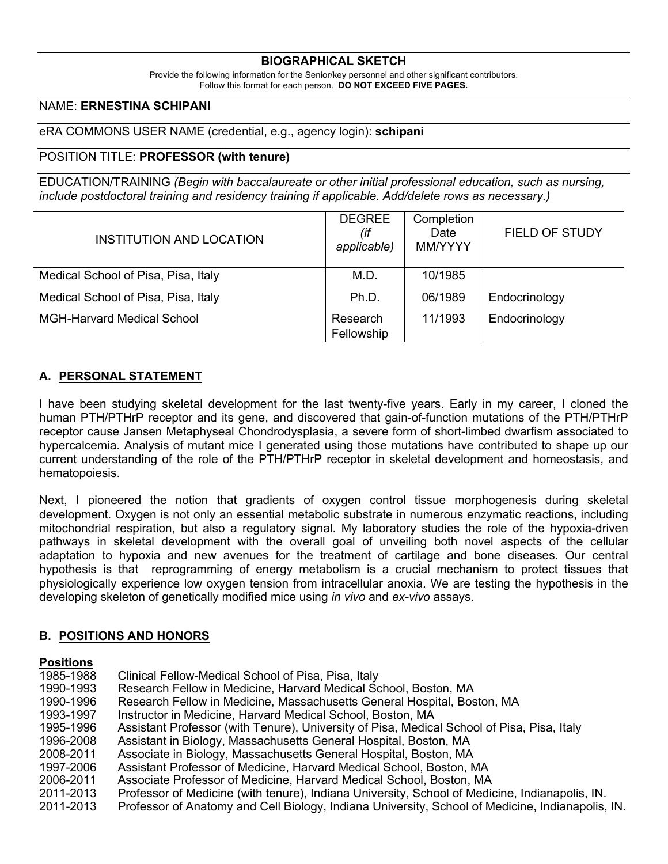#### **BIOGRAPHICAL SKETCH**

Provide the following information for the Senior/key personnel and other significant contributors. Follow this format for each person. **DO NOT EXCEED FIVE PAGES.**

#### NAME: **ERNESTINA SCHIPANI**

eRA COMMONS USER NAME (credential, e.g., agency login): **schipani**

#### POSITION TITLE: **PROFESSOR (with tenure)**

EDUCATION/TRAINING *(Begin with baccalaureate or other initial professional education, such as nursing, include postdoctoral training and residency training if applicable. Add/delete rows as necessary.)*

| INSTITUTION AND LOCATION            | <b>DEGREE</b><br>(if<br>applicable) | Completion<br>Date<br>MM/YYYY | <b>FIELD OF STUDY</b> |
|-------------------------------------|-------------------------------------|-------------------------------|-----------------------|
| Medical School of Pisa, Pisa, Italy | M.D.                                | 10/1985                       |                       |
| Medical School of Pisa, Pisa, Italy | Ph.D.                               | 06/1989                       | Endocrinology         |
| <b>MGH-Harvard Medical School</b>   | Research<br>Fellowship              | 11/1993                       | Endocrinology         |

#### **A. PERSONAL STATEMENT**

I have been studying skeletal development for the last twenty-five years. Early in my career, I cloned the human PTH/PTHrP receptor and its gene, and discovered that gain-of-function mutations of the PTH/PTHrP receptor cause Jansen Metaphyseal Chondrodysplasia, a severe form of short-limbed dwarfism associated to hypercalcemia. Analysis of mutant mice I generated using those mutations have contributed to shape up our current understanding of the role of the PTH/PTHrP receptor in skeletal development and homeostasis, and hematopoiesis.

Next, I pioneered the notion that gradients of oxygen control tissue morphogenesis during skeletal development. Oxygen is not only an essential metabolic substrate in numerous enzymatic reactions, including mitochondrial respiration, but also a regulatory signal. My laboratory studies the role of the hypoxia-driven pathways in skeletal development with the overall goal of unveiling both novel aspects of the cellular adaptation to hypoxia and new avenues for the treatment of cartilage and bone diseases. Our central hypothesis is that reprogramming of energy metabolism is a crucial mechanism to protect tissues that physiologically experience low oxygen tension from intracellular anoxia. We are testing the hypothesis in the developing skeleton of genetically modified mice using *in vivo* and *ex-vivo* assays.

### **B. POSITIONS AND HONORS**

#### **Positions**

1985-1988 Clinical Fellow-Medical School of Pisa, Pisa, Italy 1990-1993 Research Fellow in Medicine, Harvard Medical School, Boston, MA 1990-1996 Research Fellow in Medicine, Massachusetts General Hospital, Boston, MA 1993-1997 Instructor in Medicine, Harvard Medical School, Boston, MA 1995-1996 Assistant Professor (with Tenure), University of Pisa, Medical School of Pisa, Pisa, Italy 1996-2008 Assistant in Biology, Massachusetts General Hospital, Boston, MA 2008-2011 Associate in Biology, Massachusetts General Hospital, Boston, MA 1997-2006 Assistant Professor of Medicine, Harvard Medical School, Boston, MA 2006-2011 Associate Professor of Medicine, Harvard Medical School, Boston, MA 2011-2013 Professor of Medicine (with tenure), Indiana University, School of Medicine, Indianapolis, IN. 2011-2013 Professor of Anatomy and Cell Biology, Indiana University, School of Medicine, Indianapolis, IN.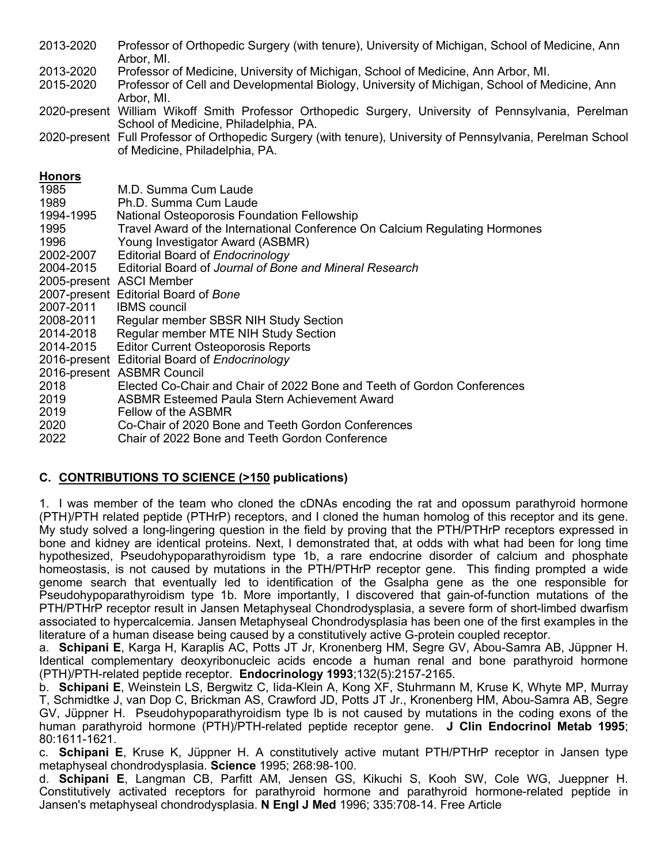2013-2020 Professor of Orthopedic Surgery (with tenure), University of Michigan, School of Medicine, Ann Arbor, MI.

2013-2020 Professor of Medicine, University of Michigan, School of Medicine, Ann Arbor, MI.

2015-2020 Professor of Cell and Developmental Biology, University of Michigan, School of Medicine, Ann Arbor, MI.

2020-present William Wikoff Smith Professor Orthopedic Surgery, University of Pennsylvania, Perelman School of Medicine, Philadelphia, PA.

2020-present Full Professor of Orthopedic Surgery (with tenure), University of Pennsylvania, Perelman School of Medicine, Philadelphia, PA.

### **Honors**

| 1985      | M.D. Summa Cum Laude                                                        |
|-----------|-----------------------------------------------------------------------------|
| 1989      | Ph.D. Summa Cum Laude                                                       |
| 1994-1995 | National Osteoporosis Foundation Fellowship                                 |
| 1995      | Travel Award of the International Conference On Calcium Regulating Hormones |
| 1996      | Young Investigator Award (ASBMR)                                            |
| 2002-2007 | Editorial Board of Endocrinology                                            |
| 2004-2015 | Editorial Board of Journal of Bone and Mineral Research                     |
|           | 2005-present ASCI Member                                                    |
|           | 2007-present Editorial Board of Bone                                        |
| 2007-2011 | <b>IBMS</b> council                                                         |
| 2008-2011 | Regular member SBSR NIH Study Section                                       |
| 2014-2018 | Regular member MTE NIH Study Section                                        |
| 2014-2015 | <b>Editor Current Osteoporosis Reports</b>                                  |
|           | 2016-present Editorial Board of Endocrinology                               |
|           | 2016-present ASBMR Council                                                  |
| 2018      | Elected Co-Chair and Chair of 2022 Bone and Teeth of Gordon Conferences     |
| 2019      | ASBMR Esteemed Paula Stern Achievement Award                                |
| 2019      | Fellow of the ASBMR                                                         |
| 2020      | Co-Chair of 2020 Bone and Teeth Gordon Conferences                          |
| 2022      | Chair of 2022 Bone and Teeth Gordon Conference                              |

# **C. CONTRIBUTIONS TO SCIENCE (>150 publications)**

1. I was member of the team who cloned the cDNAs encoding the rat and opossum parathyroid hormone (PTH)/PTH related peptide (PTHrP) receptors, and I cloned the human homolog of this receptor and its gene. My study solved a long-lingering question in the field by proving that the PTH/PTHrP receptors expressed in bone and kidney are identical proteins. Next, I demonstrated that, at odds with what had been for long time hypothesized, Pseudohypoparathyroidism type 1b, a rare endocrine disorder of calcium and phosphate homeostasis, is not caused by mutations in the PTH/PTHrP receptor gene. This finding prompted a wide genome search that eventually led to identification of the Gsalpha gene as the one responsible for Pseudohypoparathyroidism type 1b. More importantly, I discovered that gain-of-function mutations of the PTH/PTHrP receptor result in Jansen Metaphyseal Chondrodysplasia, a severe form of short-limbed dwarfism associated to hypercalcemia. Jansen Metaphyseal Chondrodysplasia has been one of the first examples in the literature of a human disease being caused by a constitutively active G-protein coupled receptor.

a. **Schipani E**, Karga H, Karaplis AC, Potts JT Jr, Kronenberg HM, Segre GV, Abou-Samra AB, Jüppner H. Identical complementary deoxyribonucleic acids encode a human renal and bone parathyroid hormone (PTH)/PTH-related peptide receptor. **Endocrinology 1993**;132(5):2157-2165.

b. **Schipani E**, Weinstein LS, Bergwitz C, Iida-Klein A, Kong XF, Stuhrmann M, Kruse K, Whyte MP, Murray T, Schmidtke J, van Dop C, Brickman AS, Crawford JD, Potts JT Jr., Kronenberg HM, Abou-Samra AB, Segre GV, Jüppner H. Pseudohypoparathyroidism type lb is not caused by mutations in the coding exons of the human parathyroid hormone (PTH)/PTH-related peptide receptor gene. **J Clin Endocrinol Metab 1995**; 80:1611-1621.

c. **Schipani E**, Kruse K, Jüppner H. A constitutively active mutant PTH/PTHrP receptor in Jansen type metaphyseal chondrodysplasia. **Science** 1995; 268:98-100.

d. **Schipani E**, Langman CB, Parfitt AM, Jensen GS, Kikuchi S, Kooh SW, Cole WG, Jueppner H. Constitutively activated receptors for parathyroid hormone and parathyroid hormone-related peptide in Jansen's metaphyseal chondrodysplasia. **N Engl J Med** 1996; 335:708-14. Free Article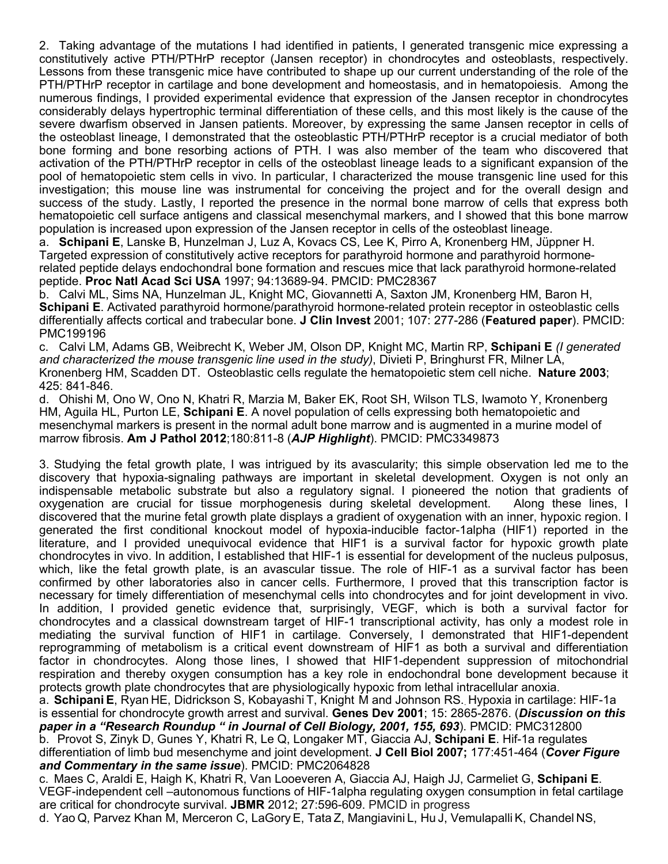2. Taking advantage of the mutations I had identified in patients, I generated transgenic mice expressing a constitutively active PTH/PTHrP receptor (Jansen receptor) in chondrocytes and osteoblasts, respectively. Lessons from these transgenic mice have contributed to shape up our current understanding of the role of the PTH/PTHrP receptor in cartilage and bone development and homeostasis, and in hematopoiesis. Among the numerous findings, I provided experimental evidence that expression of the Jansen receptor in chondrocytes considerably delays hypertrophic terminal differentiation of these cells, and this most likely is the cause of the severe dwarfism observed in Jansen patients. Moreover, by expressing the same Jansen receptor in cells of the osteoblast lineage, I demonstrated that the osteoblastic PTH/PTHrP receptor is a crucial mediator of both bone forming and bone resorbing actions of PTH. I was also member of the team who discovered that activation of the PTH/PTHrP receptor in cells of the osteoblast lineage leads to a significant expansion of the pool of hematopoietic stem cells in vivo. In particular, I characterized the mouse transgenic line used for this investigation; this mouse line was instrumental for conceiving the project and for the overall design and success of the study. Lastly, I reported the presence in the normal bone marrow of cells that express both hematopoietic cell surface antigens and classical mesenchymal markers, and I showed that this bone marrow population is increased upon expression of the Jansen receptor in cells of the osteoblast lineage.

a. **Schipani E**, Lanske B, Hunzelman J, Luz A, Kovacs CS, Lee K, Pirro A, Kronenberg HM, Jüppner H. Targeted expression of constitutively active receptors for parathyroid hormone and parathyroid hormonerelated peptide delays endochondral bone formation and rescues mice that lack parathyroid hormone-related peptide. **Proc Natl Acad Sci USA** 1997; 94:13689-94. PMCID: PMC28367

b. Calvi ML, Sims NA, Hunzelman JL, Knight MC, Giovannetti A, Saxton JM, Kronenberg HM, Baron H, **Schipani E**. Activated parathyroid hormone/parathyroid hormone-related protein receptor in osteoblastic cells differentially affects cortical and trabecular bone. **J Clin Invest** 2001; 107: 277-286 (**Featured paper**). PMCID: PMC199196

c. Calvi LM, Adams GB, Weibrecht K, Weber JM, Olson DP, Knight MC, Martin RP, **Schipani E** *(I generated and characterized the mouse transgenic line used in the study)*, Divieti P, Bringhurst FR, Milner LA, Kronenberg HM, Scadden DT. Osteoblastic cells regulate the hematopoietic stem cell niche. **Nature 2003**; 425: 841-846.

d. Ohishi M, Ono W, Ono N, Khatri R, Marzia M, Baker EK, Root SH, Wilson TLS, Iwamoto Y, Kronenberg HM, Aguila HL, Purton LE, **Schipani E**. A novel population of cells expressing both hematopoietic and mesenchymal markers is present in the normal adult bone marrow and is augmented in a murine model of marrow fibrosis. **Am J Pathol 2012**;180:811-8 (*AJP Highlight*). PMCID: PMC3349873

3. Studying the fetal growth plate, I was intrigued by its avascularity; this simple observation led me to the discovery that hypoxia-signaling pathways are important in skeletal development. Oxygen is not only an indispensable metabolic substrate but also a regulatory signal. I pioneered the notion that gradients of oxygenation are crucial for tissue morphogenesis during skeletal development. Along these lines, I discovered that the murine fetal growth plate displays a gradient of oxygenation with an inner, hypoxic region. I generated the first conditional knockout model of hypoxia-inducible factor-1alpha (HIF1) reported in the literature, and I provided unequivocal evidence that HIF1 is a survival factor for hypoxic growth plate chondrocytes in vivo. In addition, I established that HIF-1 is essential for development of the nucleus pulposus, which, like the fetal growth plate, is an avascular tissue. The role of HIF-1 as a survival factor has been confirmed by other laboratories also in cancer cells. Furthermore, I proved that this transcription factor is necessary for timely differentiation of mesenchymal cells into chondrocytes and for joint development in vivo. In addition, I provided genetic evidence that, surprisingly, VEGF, which is both a survival factor for chondrocytes and a classical downstream target of HIF-1 transcriptional activity, has only a modest role in mediating the survival function of HIF1 in cartilage. Conversely, I demonstrated that HIF1-dependent reprogramming of metabolism is a critical event downstream of HIF1 as both a survival and differentiation factor in chondrocytes. Along those lines, I showed that HIF1-dependent suppression of mitochondrial respiration and thereby oxygen consumption has a key role in endochondral bone development because it protects growth plate chondrocytes that are physiologically hypoxic from lethal intracellular anoxia.

a. **Schipani E**, Ryan HE, Didrickson S, Kobayashi T, Knight M and Johnson RS.. Hypoxia in cartilage: HIF-1a is essential for chondrocyte growth arrest and survival. **Genes Dev 2001**; 15: 2865-2876. (*Discussion on this paper in a "Research Roundup " in Journal of Cell Biology, 2001, 155, 693*). PMCID: PMC312800 b. Provot S, Zinyk D, Gunes Y, Khatri R, Le Q, Longaker MT, Giaccia AJ, **Schipani E**. Hif-1a regulates

differentiation of limb bud mesenchyme and joint development. **J Cell Biol 2007;** 177:451-464 (*Cover Figure and Commentary in the same issue*). PMCID: PMC2064828

c. Maes C, Araldi E, Haigh K, Khatri R, Van Looeveren A, Giaccia AJ, Haigh JJ, Carmeliet G, **Schipani E**. VEGF-independent cell –autonomous functions of HIF-1alpha regulating oxygen consumption in fetal cartilage are critical for chondrocyte survival. **JBMR** 2012; 27:596-609. PMCID in progress

d. Yao Q, Parvez Khan M, Merceron C, LaGory E, Tata Z, Mangiavini L, Hu J, Vemulapalli K, Chandel NS,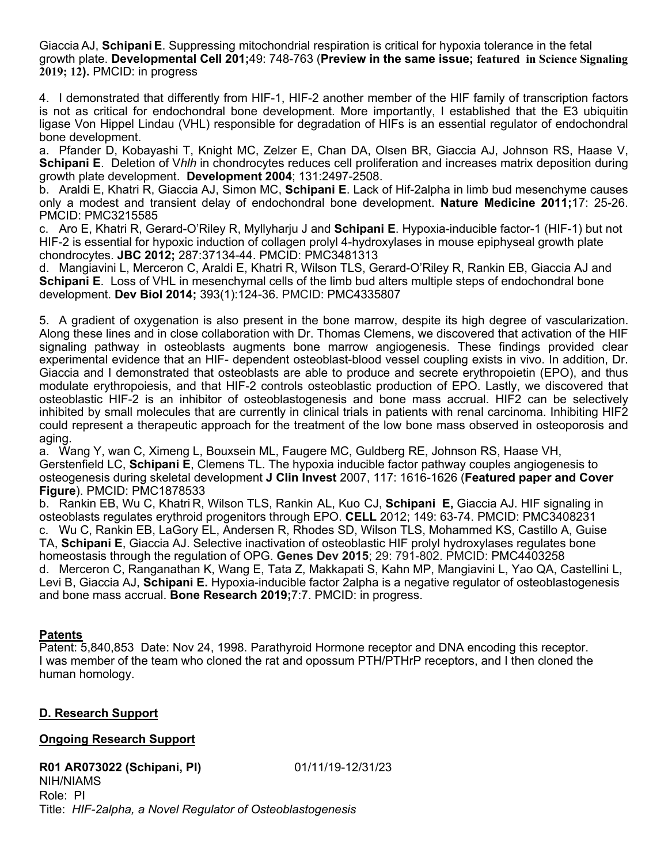Giaccia AJ, **Schipani E**. Suppressing mitochondrial respiration is critical for hypoxia tolerance in the fetal growth plate. **Developmental Cell 201;**49: 748-763 (**Preview in the same issue; featured in Science Signaling 2019; 12).** PMCID: in progress

4. I demonstrated that differently from HIF-1, HIF-2 another member of the HIF family of transcription factors is not as critical for endochondral bone development. More importantly, I established that the E3 ubiquitin ligase Von Hippel Lindau (VHL) responsible for degradation of HIFs is an essential regulator of endochondral bone development.

a. Pfander D, Kobayashi T, Knight MC, Zelzer E, Chan DA, Olsen BR, Giaccia AJ, Johnson RS, Haase V, **Schipani E**. Deletion of V*hlh* in chondrocytes reduces cell proliferation and increases matrix deposition during growth plate development. **Development 2004**; 131:2497-2508.

b. Araldi E, Khatri R, Giaccia AJ, Simon MC, **Schipani E**. Lack of Hif-2alpha in limb bud mesenchyme causes only a modest and transient delay of endochondral bone development. **Nature Medicine 2011;**17: 25-26. PMCID: PMC3215585

c. Aro E, Khatri R, Gerard-O'Riley R, Myllyharju J and **Schipani E**. Hypoxia-inducible factor-1 (HIF-1) but not HIF-2 is essential for hypoxic induction of collagen prolyl 4-hydroxylases in mouse epiphyseal growth plate chondrocytes. **JBC 2012;** 287:37134-44. PMCID: PMC3481313

d. Mangiavini L, Merceron C, Araldi E, Khatri R, Wilson TLS, Gerard-O'Riley R, Rankin EB, Giaccia AJ and **Schipani E**. Loss of VHL in mesenchymal cells of the limb bud alters multiple steps of endochondral bone development. **Dev Biol 2014;** 393(1):124-36. PMCID: PMC4335807

5. A gradient of oxygenation is also present in the bone marrow, despite its high degree of vascularization. Along these lines and in close collaboration with Dr. Thomas Clemens, we discovered that activation of the HIF signaling pathway in osteoblasts augments bone marrow angiogenesis. These findings provided clear experimental evidence that an HIF- dependent osteoblast-blood vessel coupling exists in vivo. In addition, Dr. Giaccia and I demonstrated that osteoblasts are able to produce and secrete erythropoietin (EPO), and thus modulate erythropoiesis, and that HIF-2 controls osteoblastic production of EPO. Lastly, we discovered that osteoblastic HIF-2 is an inhibitor of osteoblastogenesis and bone mass accrual. HIF2 can be selectively inhibited by small molecules that are currently in clinical trials in patients with renal carcinoma. Inhibiting HIF2 could represent a therapeutic approach for the treatment of the low bone mass observed in osteoporosis and aging.

a. Wang Y, wan C, Ximeng L, Bouxsein ML, Faugere MC, Guldberg RE, Johnson RS, Haase VH, Gerstenfield LC, **Schipani E**, Clemens TL. The hypoxia inducible factor pathway couples angiogenesis to osteogenesis during skeletal development **J Clin Invest** 2007, 117: 1616-1626 (**Featured paper and Cover Figure**). PMCID: PMC1878533

b. Rankin EB, Wu C, Khatri R, Wilson TLS, Rankin AL, Kuo CJ, **Schipani E,** Giaccia AJ. HIF signaling in osteoblasts regulates erythroid progenitors through EPO. **CELL** 2012; 149: 63-74. PMCID: PMC3408231 c. Wu C, Rankin EB, LaGory EL, Andersen R, Rhodes SD, Wilson TLS, Mohammed KS, Castillo A, Guise TA, **Schipani E**, Giaccia AJ. Selective inactivation of osteoblastic HIF prolyl hydroxylases regulates bone homeostasis through the regulation of OPG. **Genes Dev 2015**; 29: 791-802. PMCID: PMC4403258 d. Merceron C, Ranganathan K, Wang E, Tata Z, Makkapati S, Kahn MP, Mangiavini L, Yao QA, Castellini L, Levi B, Giaccia AJ, **Schipani E.** Hypoxia-inducible factor 2alpha is a negative regulator of osteoblastogenesis and bone mass accrual. **Bone Research 2019;**7:7. PMCID: in progress.

### **Patents**

Patent: 5,840,853 Date: Nov 24, 1998. Parathyroid Hormone receptor and DNA encoding this receptor. I was member of the team who cloned the rat and opossum PTH/PTHrP receptors, and I then cloned the human homology.

### **D. Research Support**

### **Ongoing Research Support**

#### **R01 AR073022 (Schipani, PI)** 01/11/19-12/31/23 NIH/NIAMS Role: PI Title: *HIF-2alpha, a Novel Regulator of Osteoblastogenesis*